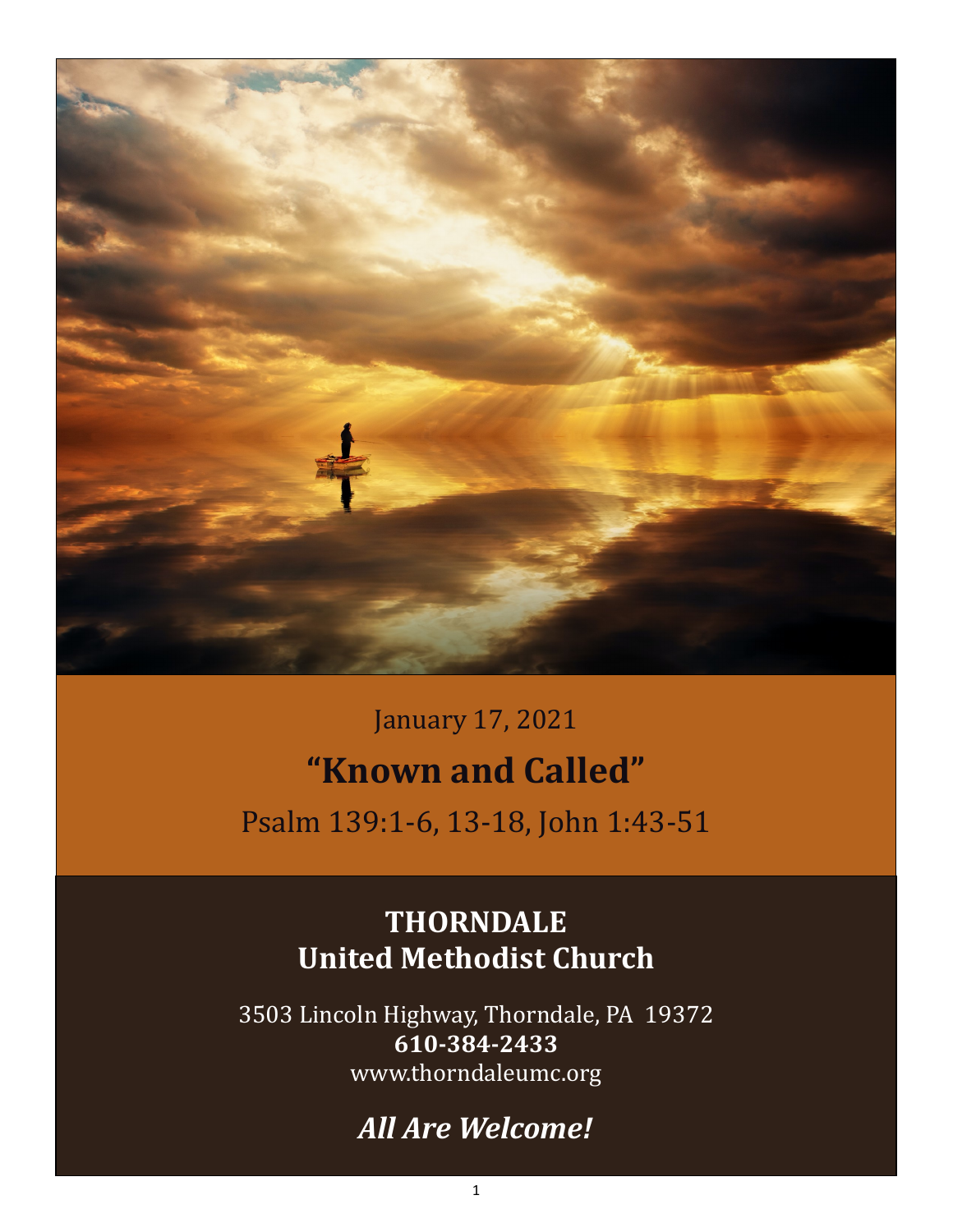

January 17, 2021 **"Known and Called"** Psalm 139:1-6, 13-18, John 1:43-51

## **THORNDALE United Methodist Church**

3503 Lincoln Highway, Thorndale, PA 19372 **610-384-2433** www.thorndaleumc.org

# *All Are Welcome!*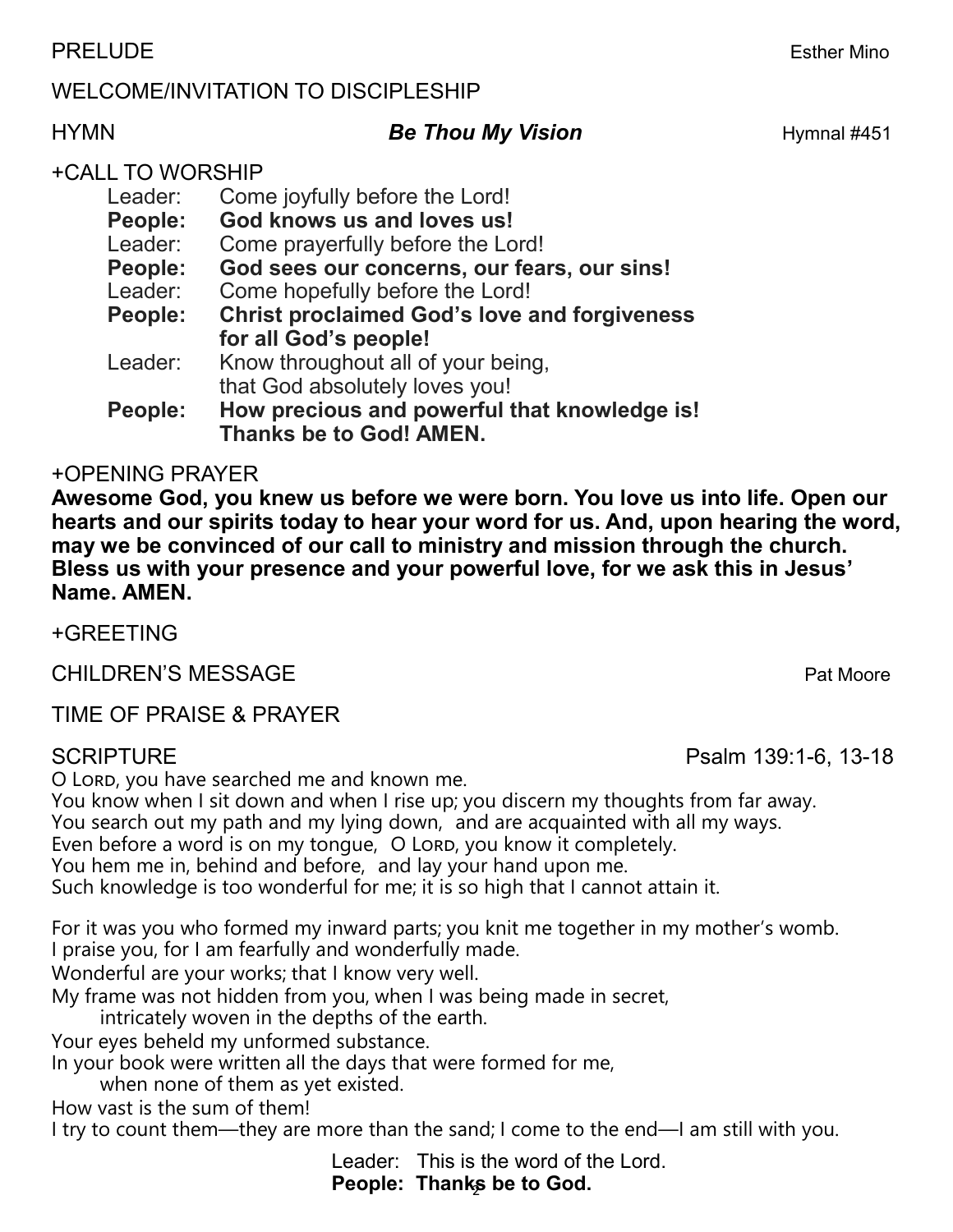### PRELUDE Esther Mino

### WELCOME/INVITATION TO DISCIPLESHIP

## HYMN **Be Thou My Vision By Hymnal #451**

#### +CALL TO WORSHIP

| Leader:                                                               | Come joyfully before the Lord!               |  |  |
|-----------------------------------------------------------------------|----------------------------------------------|--|--|
| People:                                                               | God knows us and loves us!                   |  |  |
| Leader:                                                               | Come prayerfully before the Lord!            |  |  |
| People:                                                               | God sees our concerns, our fears, our sins!  |  |  |
| Leader:                                                               | Come hopefully before the Lord!              |  |  |
| <b>Christ proclaimed God's love and forgiveness</b><br><b>People:</b> |                                              |  |  |
|                                                                       | for all God's people!                        |  |  |
| Leader:                                                               | Know throughout all of your being,           |  |  |
|                                                                       | that God absolutely loves you!               |  |  |
| People:                                                               | How precious and powerful that knowledge is! |  |  |

**Thanks be to God! AMEN.**

#### +OPENING PRAYER

**Awesome God, you knew us before we were born. You love us into life. Open our hearts and our spirits today to hear your word for us. And, upon hearing the word, may we be convinced of our call to ministry and mission through the church. Bless us with your presence and your powerful love, for we ask this in Jesus' Name. AMEN.** 

+GREETING

CHILDREN'S MESSAGE **Pat Moore** Pat Moore

TIME OF PRAISE & PRAYER

O Lord, you have searched me and known me.

You know when I sit down and when I rise up; you discern my thoughts from far away.

You search out my path and my lying down, and are acquainted with all my ways.

Even before a word is on my tongue, O Lord, you know it completely.

You hem me in, behind and before, and lay your hand upon me.

Such knowledge is too wonderful for me; it is so high that I cannot attain it.

For it was you who formed my inward parts; you knit me together in my mother's womb. I praise you, for I am fearfully and wonderfully made.

Wonderful are your works; that I know very well.

My frame was not hidden from you, when I was being made in secret,

intricately woven in the depths of the earth.

Your eyes beheld my unformed substance.

In your book were written all the days that were formed for me,

when none of them as yet existed.

How vast is the sum of them!

I try to count them—they are more than the sand; I come to the end—I am still with you.

People: Thanks be to God. Leader: This is the word of the Lord.

SCRIPTURE **Passed Accord 2012 12:34 Psalm 139:1-6, 13-18**